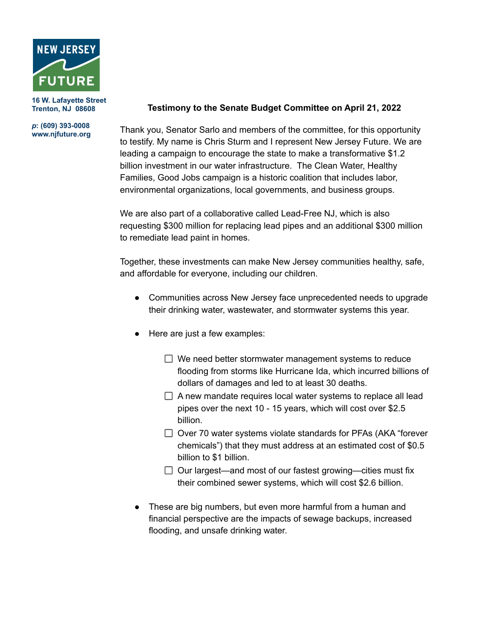

**16 W. Lafayette Street Trenton, NJ 08608**

## *p***: (609) 393-0008 www.njfuture.org**

## **Testimony to the Senate Budget Committee on April 21, 2022**

Thank you, Senator Sarlo and members of the committee, for this opportunity to testify. My name is Chris Sturm and I represent New Jersey Future. We are leading a campaign to encourage the state to make a transformative \$1.2 billion investment in our water infrastructure. The Clean Water, Healthy Families, Good Jobs campaign is a historic coalition that includes labor, environmental organizations, local governments, and business groups.

We are also part of a collaborative called Lead-Free NJ, which is also requesting \$300 million for replacing lead pipes and an additional \$300 million to remediate lead paint in homes.

Together, these investments can make New Jersey communities healthy, safe, and affordable for everyone, including our children.

- Communities across New Jersey face unprecedented needs to upgrade their drinking water, wastewater, and stormwater systems this year.
- Here are just a few examples:
	- $\Box$  We need better stormwater management systems to reduce flooding from storms like Hurricane Ida, which incurred billions of dollars of damages and led to at least 30 deaths.
	- $\Box$  A new mandate requires local water systems to replace all lead pipes over the next 10 - 15 years, which will cost over \$2.5 billion.
	- $\Box$  Over 70 water systems violate standards for PFAs (AKA "forever chemicals") that they must address at an estimated cost of \$0.5 billion to \$1 billion.
	- $\Box$  Our largest—and most of our fastest growing—cities must fix their combined sewer systems, which will cost \$2.6 billion.
- These are big numbers, but even more harmful from a human and financial perspective are the impacts of sewage backups, increased flooding, and unsafe drinking water.